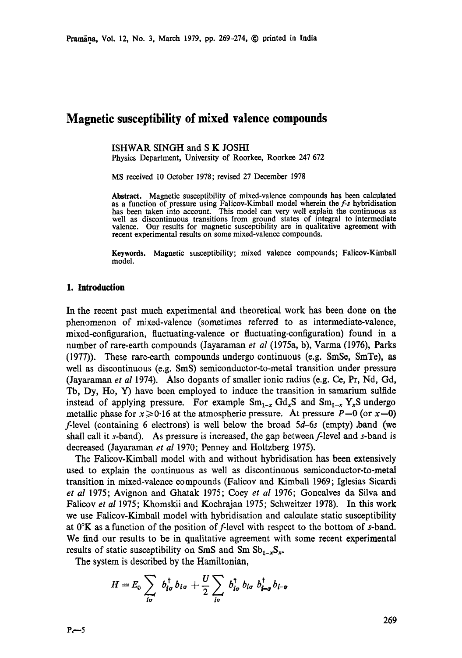## **Magnetic susceptibility of mixed valence compounds**

ISHWAR SINGH and **S K** JOSHI

Physics Department, University of Roorkee, Roorkee 247 672

MS received 10 October 1978; revised 27 December 1978

**Abstract.** Magnetic susceptibility of mixed-valence compounds has been calculated **as** a function of pressure using Falicov-Kimball model wherein the *f-s* hybridisation has been taken into account. This model can very well explain the continuous **as**  well as discontinuous transitions from ground states of integral to intermediate valence. Our results for magnetic susceptibility are in qualitative agreement with recent experimental results on some mixed-valence compounds.

**Keywords.** Magnetic susceptibility; mixed valence compounds; Falicov-Kimball model.

## **1. Introduction**

In the recent past much experimental and theoretical work has been done on the phenomenon of mixed-valence (sometimes referred to as intermediate-valence, mixed-configuration, fluctuating-valence or fluctuating-configuration) found in a number of rare-earth compounds (Jayaraman *et al* (1975a, b), Varma (1976), Parks  $(1977)$ ). These rare-earth compounds undergo continuous (e.g. SmSe, SmTe), as well as discontinuous (e.g. SmS) semiconductor-to-metal transition under pressure (Jayaraman *et al* 1974). Also dopants of smaller ionic radius (e.g. Ce, Pr, Nd, Gd, Tb, Dy, He, Y) have been employed to induce the transition in samarium sulfide instead of applying pressure. For example  $Sm_{1-x} Gd_xS$  and  $Sm_{1-x} Y_xS$  undergo metallic phase for  $x\ge 0.16$  at the atmospheric pressure. At pressure  $P=0$  (or  $x=0$ ) )':level (containing 6 electrons) is well below the broad *5d-6s* (empty) ,band (we shall call it s-band). As pressure is increased, the gap between f-level and s-band is decreased (Jayaraman *et al* 1970; Penney and Holtzberg 1975).

The Falicov-Kimball model with and without hybridisation has been extensively used to explain the continuous as well as discontinuous semiconductor-to-metal transition in mixed-valence compounds (Falicov and Kimball 1969; Iglesias Sicardi *et aI* 1975; Avignon and Ghatak 1975; Coey *et al* 1976; Gonealves da Silva **and**  Falieov *et al* 1975; Khomskii and Kochrajan 1975; Schweitzer 1978). In this work we use Falicov-Kimball model with hybridisation and calculate static susceptibility at  $0^{\circ}K$  as a function of the position of f-level with respect to the bottom of s-band. We find our results to be in qualitative agreement with some recent experimental results of static susceptibility on SmS and Sm  $\text{Sb}_{1-x}\text{S}_x$ .

The system is described by the Hamiltonian,

$$
H=E_0\sum_{i\sigma} b_{i\sigma}^\dagger b_{i\sigma}+\frac{U}{2}\sum_{i\sigma} b_{i\sigma}^\dagger b_{i\sigma} b_{i-\sigma}^\dagger b_{i-\sigma}
$$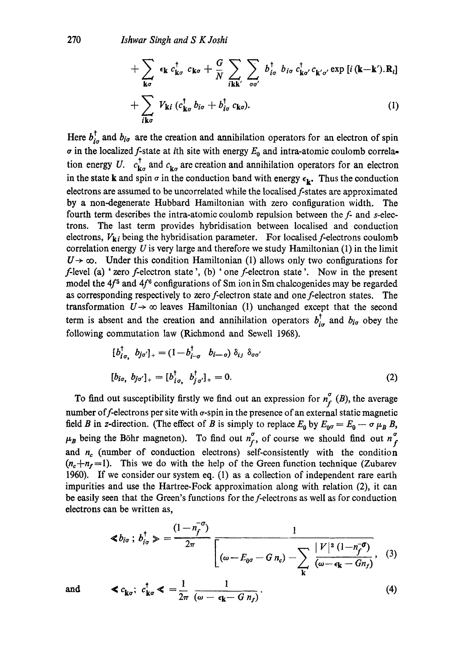$$
+ \sum_{\mathbf{k}\sigma} \epsilon_{\mathbf{k}} c_{\mathbf{k}\sigma}^{\dagger} c_{\mathbf{k}\sigma} + \frac{G}{N} \sum_{i\mathbf{k}\mathbf{k}'} \sum_{\sigma\sigma'} b_{i\sigma}^{\dagger} b_{i\sigma} c_{\mathbf{k}\sigma'}^{\dagger} c_{\mathbf{k}'\sigma'} \exp [i (\mathbf{k} - \mathbf{k}').\mathbf{R}_{i}]
$$
  
+ 
$$
\sum_{i\mathbf{k}\sigma} V_{\mathbf{k}i} (c_{\mathbf{k}\sigma}^{\dagger} b_{i\sigma} + b_{i\sigma}^{\dagger} c_{\mathbf{k}\sigma}).
$$
 (1)

Here  $b_{i\sigma}^{\dagger}$  and  $b_{i\sigma}$  are the creation and annihilation operators for an electron of spin  $\sigma$  in the localized f-state at ith site with energy  $E_0$  and intra-atomic coulomb correlation energy U.  $c_{\mathbf{k}\sigma}^{\dagger}$  and  $c_{\mathbf{k}\sigma}$  are creation and annihilation operators for an electron in the state k and spin  $\sigma$  in the conduction band with energy  $\epsilon_{\mathbf{k}}$ . Thus the conduction electrons are assumed to be uncorrelated while the localised f-states are approximated by a non-degenerate Hubbard Hamiltonian with zero configuration width. The fourth term describes the intra-atomic coulomb repulsion between the f- and s-electrons. The last term provides hybridisation between localised and conduction electrons,  $V_{ki}$  being the hybridisation parameter. For localised f-electrons coulomb correlation energy  $U$  is very large and therefore we study Hamiltonian  $(1)$  in the limit  $U\rightarrow\infty$ . Under this condition Hamiltonian (1) allows only two configurations for  $f$ -level (a) 'zero  $f$ -electron state ', (b) ' one  $f$ -electron state '. Now in the present model the  $4f<sup>5</sup>$  and  $4f<sup>6</sup>$  configurations of Sm ion in Sm chalcogenides may be regarded as corresponding respectively to zero f-electron state and one f-electron states. The transformation  $U \rightarrow \infty$  leaves Hamiltonian (1) unchanged except that the second term is absent and the creation and annihilation operators  $b^{\dagger}_{i\sigma}$  and  $b_{i\sigma}$  obey the following commutation law (Richmond and Sewell 1968).

$$
[b_{i\sigma_1}^{\dagger} b_{j\sigma'}]_+ = (1 - b_{i-\sigma}^{\dagger} b_{i-\sigma}) \delta_{i\sigma} \delta_{\sigma\sigma'}
$$
  

$$
[b_{i\sigma_1} b_{j\sigma'}]_+ = [b_{i\sigma_1}^{\dagger} b_{j\sigma'}^{\dagger}]_+ = 0.
$$
 (2)

electrons can be written as, To find out susceptibility firstly we find out an expression for  $n_f^{\sigma}$  (B), the average number of f-electrons per site with  $\sigma$ -spin in the presence of an external static magnetic field B in z-direction. (The effect of B is simply to replace  $E_0$  by  $E_{0\sigma} = E_0 - \sigma \mu_B B$ ,  $\mu_B$  being the Böhr magneton). To find out  $n_f^{\sigma}$ , of course we should find out  $n_f^{\sigma}$ and  $n_c$  (number of conduction electrons) self-consistently with the condition  $(n_c+n_f=1)$ . This we do with the help of the Green function technique (Zubarev 1960). If we consider our system eq. (1) as a collection of independent rare earth impurities and use the Hartree-Fock approximation along with relation (2), it can be easily seen that the Green's functions for the f-electrons as well as for conduction

$$
\ll b_{i\sigma} \; ; \; b_{i\sigma}^{\dagger} \gg \; = \; \frac{(1-n_f^{-\sigma})}{2\pi} \; \frac{1}{\left[ \left( \omega - E_{0\sigma} - G \, n_c \right) - \sum_{\mathbf{k}} \; \frac{|V|^2 \, (1-n_f^{-\sigma})}{\left( \omega - \epsilon_{\mathbf{k}} - G n_f \right)} \right] \; , \quad (3)
$$

$$
\mathbf{d} \qquad \mathbf{<} \ c_{\mathbf{k}\sigma}; \ c_{\mathbf{k}\sigma}^{\dagger} \mathbf{<} \ = \frac{1}{2\pi} \ \frac{1}{(\omega - \epsilon_{\mathbf{k}} - G \ n_{f})} \,. \tag{4}
$$

*and*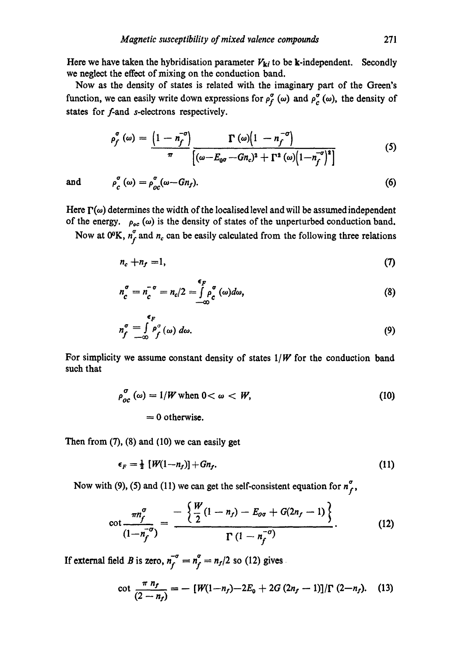Here we have taken the hybridisation parameter  $V_{ki}$  to be k-independent. Secondly we neglect the effect of mixing on the conduction band.

Now as the density of states is related with the imaginary part of the Green's function, we can easily write down expressions for  $\rho_f^{\sigma}(\omega)$  and  $\rho_c^{\sigma}(\omega)$ , the density of states for f-and s-electrons respectively.

$$
\rho_f^{\sigma}(\omega) = \frac{\left(1 - n_f^{-\sigma}\right)}{\pi} \frac{\Gamma(\omega)\left(1 - n_f^{-\sigma}\right)}{\left[(\omega - E_{0\sigma} - G_n)^2 + \Gamma^2(\omega)\left(1 - n_f^{-\sigma}\right)^2\right]}
$$
(5)

and  $\rho_c^{\sigma}(\omega) = \rho_{ac}^{\sigma}(\omega - Gn_f).$  (6)

Here  $\Gamma(\omega)$  determines the width of the localised level and will be assumed independent of the energy.  $\rho_{oc}(\omega)$  is the density of states of the unperturbed conduction band.

Now at 0°K,  $n_f^{\sigma}$  and  $n_c$  can be easily calculated from the following three relations

$$
n_c + n_f = 1,\tag{7}
$$

$$
n_c^{\sigma} = n_c^{-\sigma} = n_c/2 = \int_{-\infty}^{\epsilon_F} \rho_c^{\sigma}(\omega) d\omega, \qquad (8)
$$

$$
n_f^{\sigma} = \int\limits_{-\infty}^{\epsilon_F} \rho_f^{\sigma}(\omega) \, d\omega. \tag{9}
$$

For simplicity we assume constant density of states *1/W* for the conduction band such that

$$
\rho_{oc}^{\sigma}(\omega) = 1/W \text{ when } 0 < \omega < W,
$$
  
= 0 otherwise. (10)

Then from  $(7)$ ,  $(8)$  and  $(10)$  we can easily get

$$
\epsilon_F = \frac{1}{2} \left[ W(1 - n_f) \right] + G n_f. \tag{11}
$$

Now with (9), (5) and (11) we can get the self-consistent equation for  $n_f^{\sigma}$ ,

$$
\cot \frac{\pi n_f^{\sigma}}{(1-n_f^{-\sigma})} = \frac{-\left\{\frac{W}{2}(1-n_f) - E_{\sigma\sigma} + G(2n_f - 1)\right\}}{\Gamma(1-n_f^{-\sigma})}.
$$
 (12)

If external field *B* is zero,  $n_f^{-\sigma} = n_f^{\sigma} = n_f/2$  so (12) gives

$$
\cot \frac{\pi n_f}{(2-n_f)} = -\left[W(1-n_f) - 2E_0 + 2G(2n_f - 1)\right]/\Gamma(2-n_f). \quad (13)
$$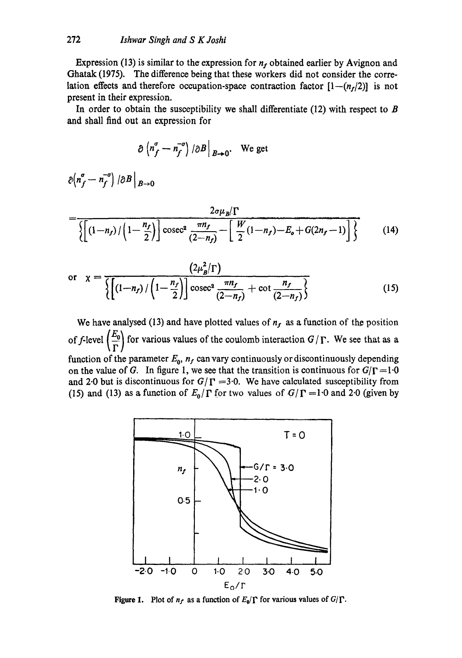Expression (13) is similar to the expression for  $n_f$  obtained earlier by Avignon and Ghatak (1975). The difference being that these workers did not consider the correlation effects and therefore occupation-space contraction factor  $[1-(n_f/2)]$  is not present in their expression.

In order to obtain the susceptibility we shall differentiate (12) with respect to  $\bm{B}$ and shall find out an expression for

$$
\partial \left( n_f^{\sigma} - n_f^{-\sigma} \right) / \partial B \Big|_{B \to 0}.
$$
 We get

 $\partial (n_f^{\sigma} - n_f^{-\sigma}) / \partial B \Big|_{B \to 0}$ 

$$
= \frac{2\sigma\mu_B/\Gamma}{\left\{ \left[ (1-n_f) / \left( 1 - \frac{n_f}{2} \right) \right] \csc^2\left( \frac{\pi n_f}{(2-n_f)} - \left[ \frac{W}{2} (1-n_f) - E_o + G(2n_f - 1) \right] \right\}} \right\}
$$
(14)

or 
$$
\chi = \frac{(2\mu_B^2/\Gamma)}{\left\{ \left(1 - n_f\right) / \left(1 - \frac{n_f}{2}\right) \right\} \csc^2 \frac{\pi n_f}{(2 - n_f)} + \cot \frac{n_f}{(2 - n_f)} \right\}}
$$
(15)

We have analysed (13) and have plotted values of  $n_f$  as a function of the position *of f-level*  $\left(\frac{E_0}{\Gamma}\right)$  for various values of the coulomb interaction  $G/\Gamma$ . We see that as a function of the parameter  $E_0$ ,  $n_f$  can vary continuously or discontinuously depending on the value of G. In figure 1, we see that the transition is continuous for  $G/\Gamma = 1.0$ and 2.0 but is discontinuous for  $G/\Gamma = 3.0$ . We have calculated susceptibility from (15) and (13) as a function of  $E_0/\Gamma$  for two values of  $G/\Gamma = 1.0$  and 2.0 (given by



Figure 1. Plot of  $n_f$  as a function of  $E_0/\Gamma$  for various values of  $G/\Gamma$ .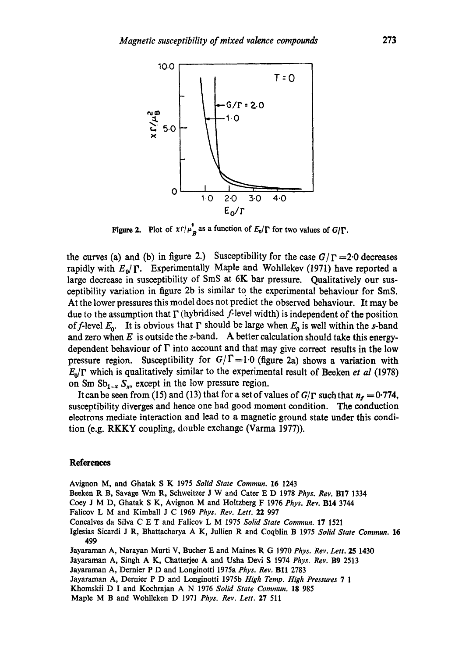

Figure 2. Plot of  $x \Gamma/\mu_{\mathbf{R}}$  as a function of  $E_0/\Gamma$  for two values of  $G/\Gamma$ .

the curves (a) and (b) in figure 2.) Susceptibility for the case  $G/\Gamma = 2.0$  decreases rapidly with  $E_0/\Gamma$ . Experimentally Maple and Wohllekev (1971) have reported a large decrease in susceptibility of SmS at  $6K$  bar pressure. Qualitatively our susceptibility variation in figure 2b is similar to the experimental behaviour for SmS. At the lower pressures this model does not predict the observed behaviour. It may be due to the assumption that  $\Gamma$  (hybridised *f*-level width) is independent of the position of f-level  $E_0$ . It is obvious that  $\Gamma$  should be large when  $E_0$  is well within the s-band and zero when  $E$  is outside the s-band. A better calculation should take this energydependent behaviour of  $\Gamma$  into account and that may give correct results in the low pressure region. Susceptibility for  $G/\Gamma=1.0$  (figure 2a) shows a variation with  $E_0/\Gamma$  which is qualitatively similar to the experimental result of Beeken *et al* (1978) on Sm  $\text{Sb}_{1-x}$   $\text{S}_x$ , except in the low pressure region.

It can be seen from (15) and (13) that for a set of values of  $G/\Gamma$  such that  $n_f = 0.774$ , susceptibility diverges and hence one had good moment condition. The conduction electrons mediate interaction and lead to a magnetic ground state under this condition (e.g. RKKY coupling, double exchange (Varma 1977)).

## **References**

Avignon M, and Ghatak S K 1975 *Solid State Commun.* 16 1243

Beeken R B, Savage Wm R, Schweitzer J W and Cater E D 1978 *Phys. Rev.* BI7 1334

- Coey J M D, Ghatak S K, Avignon M and Holtzberg F 1976 *Phys. Rev.* B14 3744
- Falicov L M and Kimball J C 1969 *Phys. Rev. Lett.* 22 997

Concalves da Silva C E T and Falicov L M 1975 *Solid State Commun.* 17 1521

Iglesias Sicardi J R, Bhattacharya A K, Jullien R and Coqblin B 1975 *Solid State Commun.* 16 499

Jayaraman A, Narayan Murti V, Bucher E and Maines R G 1970 *Phys. Rev. Lett.* 25 1430

Jayaraman A, Singh A K, Chatterjee A and Usha Devi S 1974 *Phys. Rev.* B9 2513

Jayaraman A, Dernier P D and Longinotti 1975a *Phys. Rev.* Bll 2783

Jayaraman A, Dernier P D and Longinotti 1975b *High Temp. High Pressures 7 1* 

Khomskii D I and Kochrajan A N 1976 *Solid State Commun.* 18 985

Maple M B and Wohlleken D 1971 *Phys. Rev. Lett.* 27 511